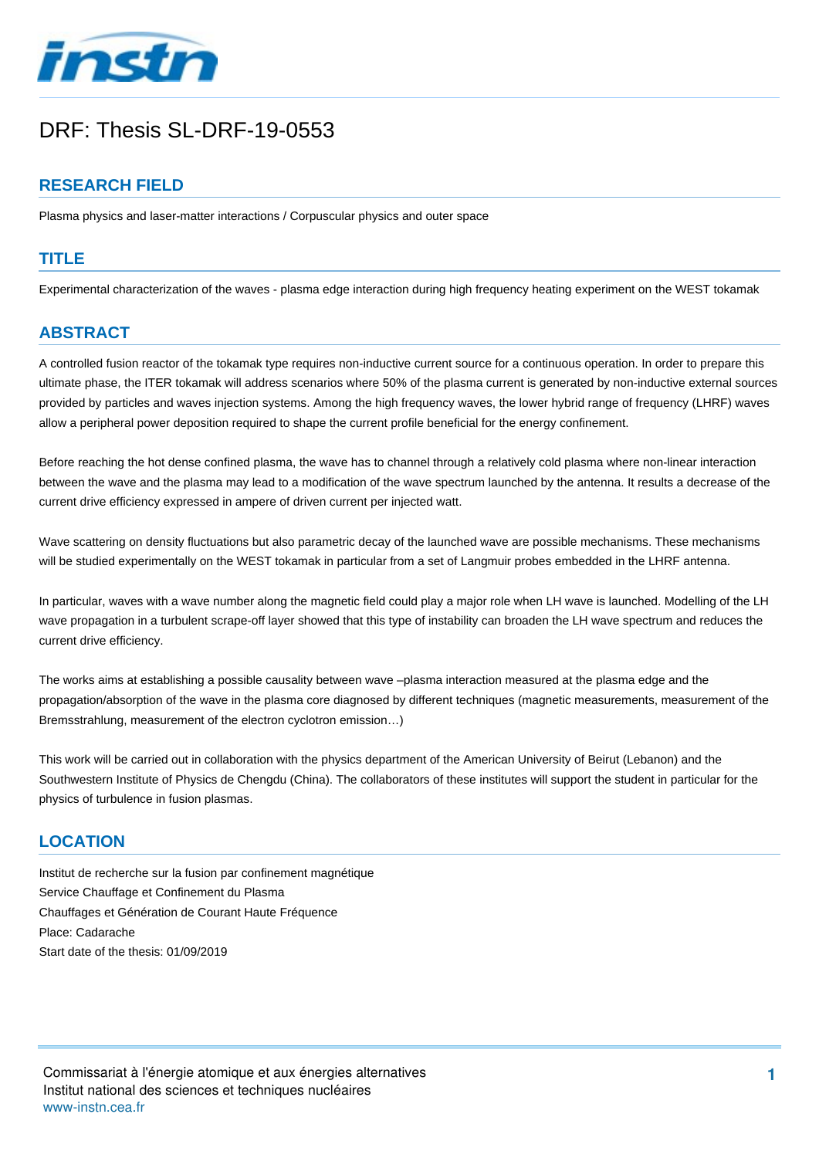

# DRF: Thesis SL-DRF-19-0553

# **RESEARCH FIELD**

Plasma physics and laser-matter interactions / Corpuscular physics and outer space

#### **TITLE**

Experimental characterization of the waves - plasma edge interaction during high frequency heating experiment on the WEST tokamak

# **ABSTRACT**

A controlled fusion reactor of the tokamak type requires non-inductive current source for a continuous operation. In order to prepare this ultimate phase, the ITER tokamak will address scenarios where 50% of the plasma current is generated by non-inductive external sources provided by particles and waves injection systems. Among the high frequency waves, the lower hybrid range of frequency (LHRF) waves allow a peripheral power deposition required to shape the current profile beneficial for the energy confinement.

Before reaching the hot dense confined plasma, the wave has to channel through a relatively cold plasma where non-linear interaction between the wave and the plasma may lead to a modification of the wave spectrum launched by the antenna. It results a decrease of the current drive efficiency expressed in ampere of driven current per injected watt.

Wave scattering on density fluctuations but also parametric decay of the launched wave are possible mechanisms. These mechanisms will be studied experimentally on the WEST tokamak in particular from a set of Langmuir probes embedded in the LHRF antenna.

In particular, waves with a wave number along the magnetic field could play a major role when LH wave is launched. Modelling of the LH wave propagation in a turbulent scrape-off layer showed that this type of instability can broaden the LH wave spectrum and reduces the current drive efficiency.

The works aims at establishing a possible causality between wave –plasma interaction measured at the plasma edge and the propagation/absorption of the wave in the plasma core diagnosed by different techniques (magnetic measurements, measurement of the Bremsstrahlung, measurement of the electron cyclotron emission…)

This work will be carried out in collaboration with the physics department of the American University of Beirut (Lebanon) and the Southwestern Institute of Physics de Chengdu (China). The collaborators of these institutes will support the student in particular for the physics of turbulence in fusion plasmas.

#### **LOCATION**

Institut de recherche sur la fusion par confinement magnétique Service Chauffage et Confinement du Plasma Chauffages et Génération de Courant Haute Fréquence Place: Cadarache Start date of the thesis: 01/09/2019